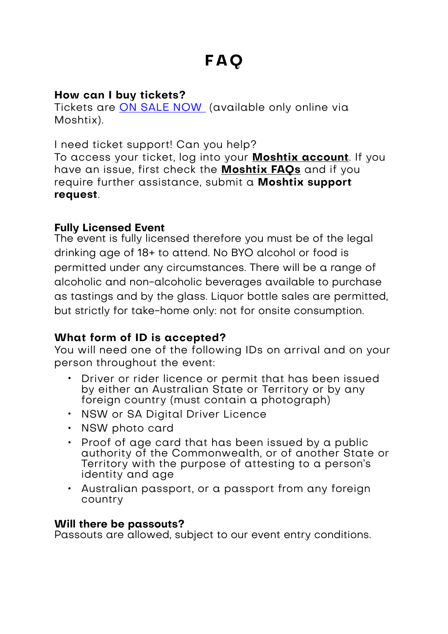# **How can I buy tickets?**

Tickets are [ON SALE NOW](http://moshtix.com.au/v2/event/sparkling-sydney-2022/133538?skin=spksyd21) (available only online via Moshtix).

I need ticket support! Can you help?

To access your ticket, log into your **[Moshtix account](https://www.moshtix.com.au/v2/account/login)**. If you have an issue, first check the **[Moshtix FAQs](https://tixsupport.moshtix.com.au/hc/en-us)** and if you require further assistance, submit a **[Moshtix support](https://tixsupport.moshtix.com.au/hc/en-us/requests/new)  [request](https://tixsupport.moshtix.com.au/hc/en-us/requests/new)**.

#### **Fully Licensed Event**

The event is fully licensed therefore you must be of the legal drinking age of 18+ to attend. No BYO alcohol or food is permitted under any circumstances. There will be a range of alcoholic and non-alcoholic beverages available to purchase as tastings and by the glass. Liquor bottle sales are permitted, but strictly for take-home only: not for onsite consumption.

# **What form of ID is accepted?**

You will need one of the following IDs on arrival and on your person throughout the event:

- Driver or rider licence or permit that has been issued by either an Australian State or Territory or by any foreign country (must contain a photograph)
- NSW or SA Digital Driver Licence
- NSW photo card
- Proof of age card that has been issued by a public authority of the Commonwealth, or of another State or Territory with the purpose of attesting to a person's identity and age
- Australian passport, or a passport from any foreign country

# **Will there be passouts?**

Passouts are allowed, subject to our event entry conditions.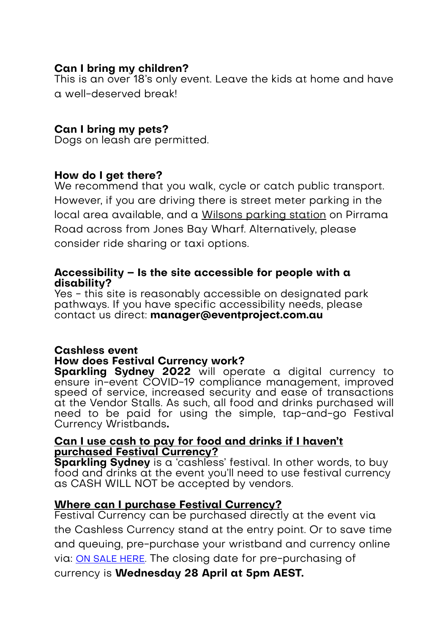#### **Can I bring my children?**

This is an over 18's only event. Leave the kids at home and have a well-deserved break!

### **Can I bring my pets?**

Dogs on leash are permitted.

#### **How do I get there?**

We recommend that you walk, cycle or catch public transport. However, if you are driving there is street meter parking in the local area available, and a [Wilsons parking station](https://www.wilsonparking.com.au/parking-locations/new-south-wales/darling-harbour/jones-bay-wharf-car-park/) on Pirrama Road across from Jones Bay Wharf. Alternatively, please consider ride sharing or taxi options.

#### **Accessibility – Is the site accessible for people with a disability?**

Yes - this site is reasonably accessible on designated park pathways. If you have specific accessibility needs, please contact us direct: **manager@eventproject.com.au**

# **Cashless event How does Festival Currency work?**

**Sparkling Sydney 2022** will operate a digital currency to ensure in-event COVID-19 compliance management, improved speed of service, increased security and ease of transactions at the Vendor Stalls. As such, all food and drinks purchased will need to be paid for using the simple, tap-and-go Festival Currency Wristbands**.** 

#### **[Can I use cash to pay for food and drinks if I haven't](http://www.snowtunes.com.au/event-info/)  [purchased Festival Currency?](http://www.snowtunes.com.au/event-info/)**

**Sparkling Sydney** is a 'cashless' festival. In other words, to buy food and drinks at the event you'll need to use festival currency as CASH WILL NOT be accepted by vendors.

#### **Where can I purchase Festival Currency?**

Festival Currency can be purchased directly at the event via the Cashless Currency stand at the entry point. Or to save time and queuing, pre-purchase your wristband and currency online via: [ON SALE HERE](http://moshtix.com.au/v2/event/sparkling-sydney-2022/133538?skin=spksyd21). The closing date for pre-purchasing of currency is **Wednesday 28 April at 5pm AEST.**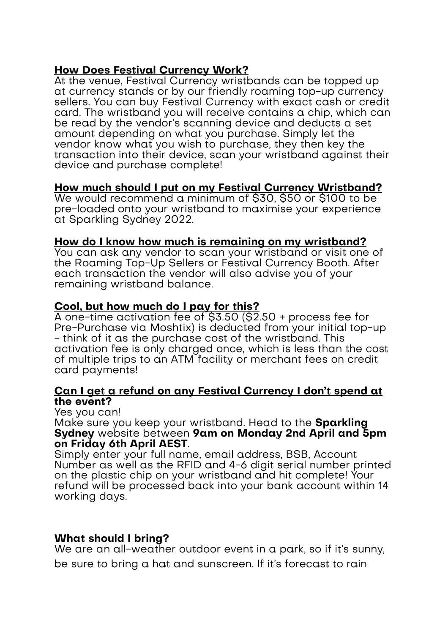#### **[How Does Festival Currency Work?](http://www.snowtunes.com.au/event-info/)**

At the venue, Festival Currency wristbands can be topped up at currency stands or by our friendly roaming top-up currency sellers. You can buy Festival Currency with exact cash or credit card. The wristband you will receive contains a chip, which can be read by the vendor's scanning device and deducts a set amount depending on what you purchase. Simply let the vendor know what you wish to purchase, they then key the transaction into their device, scan your wristband against their device and purchase complete!

#### **[How much should I put on my Festival Currency Wristband?](http://www.snowtunes.com.au/event-info/)**

We would recommend a minimum of \$30, \$50 or \$100 to be pre-loaded onto your wristband to maximise your experience at Sparkling Sydney 2022.

#### **[How do I know how much is remaining on my wristband?](http://www.snowtunes.com.au/event-info/)**

You can ask any vendor to scan your wristband or visit one of the Roaming Top-Up Sellers or Festival Currency Booth. After each transaction the vendor will also advise you of your remaining wristband balance.

#### **[Cool, but how much do I pay for this?](http://www.snowtunes.com.au/event-info/)**

A one-time activation fee of \$3.50 (\$2.50 + process fee for Pre-Purchase via Moshtix) is deducted from your initial top-up - think of it as the purchase cost of the wristband. This activation fee is only charged once, which is less than the cost of multiple trips to an ATM facility or merchant fees on credit card payments!

#### **[Can I get a refund on any Festival Currency I don't spend at](http://www.snowtunes.com.au/event-info/)  [the event?](http://www.snowtunes.com.au/event-info/)**

Yes you can!

Make sure you keep your wristband. Head to the **Sparkling Sydney** website between **9am on Monday 2nd April and 5pm on Friday 6th April AEST**.

Simply enter your full name, email address, BSB, Account Number as well as the RFID and 4-6 digit serial number printed on the plastic chip on your wristband and hit complete! Your refund will be processed back into your bank account within 14 working days.

#### **What should I bring?**

We are an all-weather outdoor event in a park, so if it's sunny, be sure to bring a hat and sunscreen. If it's forecast to rain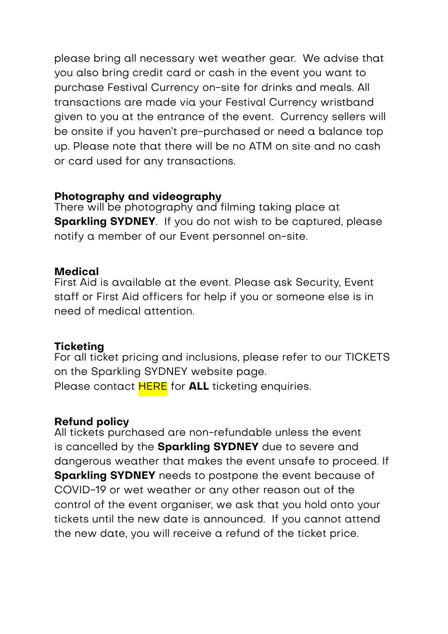please bring all necessary wet weather gear. We advise that you also bring credit card or cash in the event you want to purchase Festival Currency on-site for drinks and meals. All transactions are made via your Festival Currency wristband given to you at the entrance of the event. Currency sellers will be onsite if you haven't pre-purchased or need a balance top up. Please note that there will be no ATM on site and no cash or card used for any transactions.

# **Photography and videography**

There will be photography and filming taking place at **Sparkling SYDNEY**. If you do not wish to be captured, please notify a member of our Event personnel on-site.

#### **Medical**

First Aid is available at the event. Please ask Security, Event staff or First Aid officers for help if you or someone else is in need of medical attention.

#### **Ticketing**

For all ticket pricing and inclusions, please refer to our TICKETS on the Sparkling SYDNEY website page. Please contact [HERE](https://tixsupport.moshtix.com.au/hc/en-us/requests/new) for **ALL** ticketing enquiries.

# **Refund policy**

All tickets purchased are non-refundable unless the event is cancelled by the **Sparkling SYDNEY** due to severe and dangerous weather that makes the event unsafe to proceed. If **Sparkling SYDNEY** needs to postpone the event because of COVID-19 or wet weather or any other reason out of the control of the event organiser, we ask that you hold onto your tickets until the new date is announced. If you cannot attend the new date, you will receive a refund of the ticket price.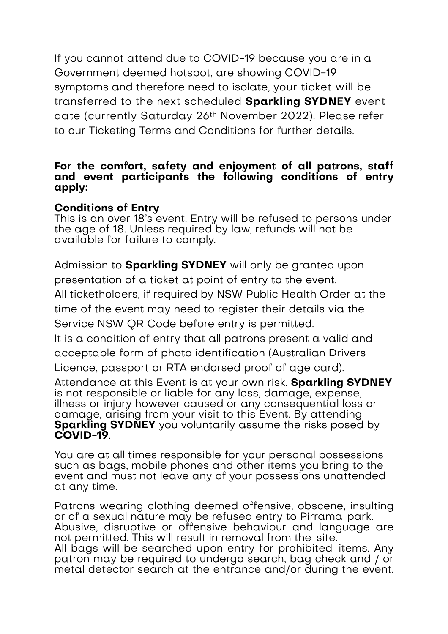If you cannot attend due to COVID-19 because you are in a Government deemed hotspot, are showing COVID-19 symptoms and therefore need to isolate, your ticket will be transferred to the next scheduled **Sparkling SYDNEY** event date (currently Saturday 26th November 2022). Please refer to our Ticketing Terms and Conditions for further details.

#### **For the comfort, safety and enjoyment of all patrons, staff and event participants the following conditions of entry apply:**

#### **Conditions of Entry**

This is an over 18's event. Entry will be refused to persons under the age of 18. Unless required by law, refunds will not be available for failure to comply.

Admission to **Sparkling SYDNEY** will only be granted upon presentation of a ticket at point of entry to the event.

All ticketholders, if required by NSW Public Health Order at the time of the event may need to register their details via the Service NSW QR Code before entry is permitted.

It is a condition of entry that all patrons present a valid and acceptable form of photo identification (Australian Drivers Licence, passport or RTA endorsed proof of age card).

Attendance at this Event is at your own risk. **Sparkling SYDNEY** is not responsible or liable for any loss, damage, expense, illness or injury however caused or any consequential loss or damage, arising from your visit to this Event. By attending **Sparkling SYDNEY** you voluntarily assume the risks posed by **COVID-19**.

You are at all times responsible for your personal possessions such as bags, mobile phones and other items you bring to the event and must not leave any of your possessions unattended at any time.

Patrons wearing clothing deemed offensive, obscene, insulting or of a sexual nature may be refused entry to Pirrama park. Abusive, disruptive or offensive behaviour and language are not permitted. This will result in removal from the site. All bags will be searched upon entry for prohibited items. Any patron may be required to undergo search, bag check and / or metal detector search at the entrance and/or during the event.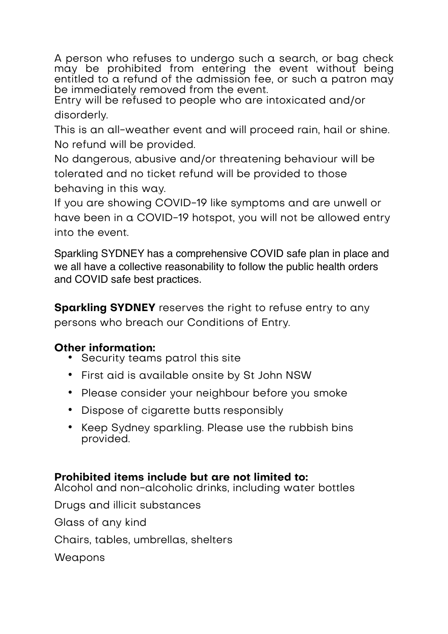A person who refuses to undergo such a search, or bag check may be prohibited from entering the event without being entitled to a refund of the admission fee, or such a patron may be immediately removed from the event.

Entry will be refused to people who are intoxicated and/or disorderly.

This is an all-weather event and will proceed rain, hail or shine. No refund will be provided.

No dangerous, abusive and/or threatening behaviour will be tolerated and no ticket refund will be provided to those behaving in this way.

If you are showing COVID-19 like symptoms and are unwell or have been in a COVID-19 hotspot, you will not be allowed entry into the event.

Sparkling SYDNEY has a comprehensive COVID safe plan in place and we all have a collective reasonability to follow the public health orders and COVID safe best practices.

**Sparkling SYDNEY** reserves the right to refuse entry to any persons who breach our Conditions of Entry.

# **Other information:**

- Security teams patrol this site
- First aid is available onsite by St John NSW
- Please consider your neighbour before you smoke
- Dispose of cigarette butts responsibly
- Keep Sydney sparkling. Please use the rubbish bins provided.

# **Prohibited items include but are not limited to:**

Alcohol and non-alcoholic drinks, including water bottles

Drugs and illicit substances

Glass of any kind

Chairs, tables, umbrellas, shelters

Weapons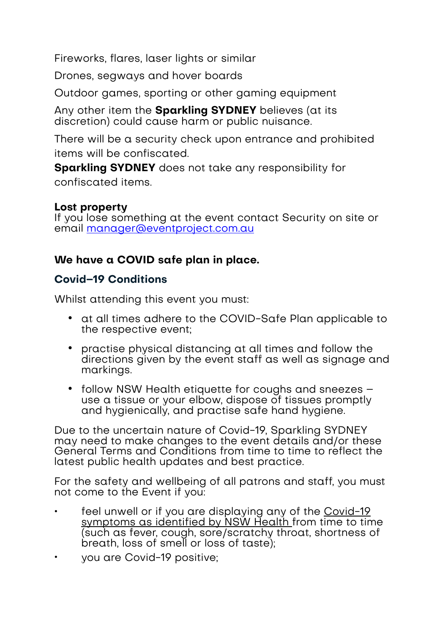Fireworks, flares, laser lights or similar

Drones, segways and hover boards

Outdoor games, sporting or other gaming equipment

Any other item the **Sparkling SYDNEY** believes (at its discretion) could cause harm or public nuisance.

There will be a security check upon entrance and prohibited items will be confiscated.

**Sparkling SYDNEY** does not take any responsibility for confiscated items.

#### **Lost property**

If you lose something at the event contact Security on site or email [manager@eventproject.com.au](mailto:manager@eventproject.com.au)

# **We have a COVID safe plan in place.**

# **Covid–19 Conditions**

Whilst attending this event you must:

- at all times adhere to the COVID-Safe Plan applicable to the respective event;
- practise physical distancing at all times and follow the directions given by the event staff as well as signage and markings.
- follow NSW Health etiquette for coughs and sneezes use a tissue or your elbow, dispose of tissues promptly and hygienically, and practise safe hand hygiene.

Due to the uncertain nature of Covid-19, Sparkling SYDNEY may need to make changes to the event details and/or these General Terms and Conditions from time to time to reflect the latest public health updates and best practice.

For the safety and wellbeing of all patrons and staff, you must not come to the Event if you:

- feel unwell or if you are displaying any of the Covid-19 [symptoms as identified by NSW Health f](https://www.nsw.gov.au/covid-19/symptoms-and-testing)rom time to time (such as fever, cough, sore/scratchy throat, shortness of breath, loss of smell or loss of taste);
- you are Covid-19 positive;